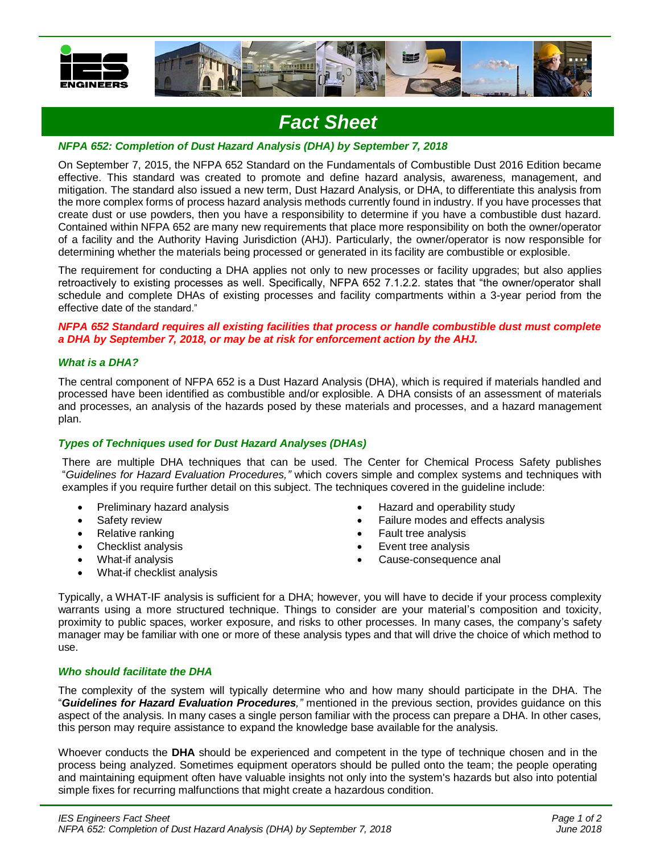

## *Fact Sheet*

## *NFPA 652: Completion of Dust Hazard Analysis (DHA) by September 7, 2018*

On September 7, 2015, the NFPA 652 Standard on the Fundamentals of Combustible Dust 2016 Edition became effective. This standard was created to promote and define hazard analysis, awareness, management, and mitigation. The standard also issued a new term, Dust Hazard Analysis, or DHA, to differentiate this analysis from the more complex forms of process hazard analysis methods currently found in industry. If you have processes that create dust or use powders, then you have a responsibility to determine if you have a combustible dust hazard. Contained within NFPA 652 are many new requirements that place more responsibility on both the owner/operator of a facility and the Authority Having Jurisdiction (AHJ). Particularly, the owner/operator is now responsible for determining whether the materials being processed or generated in its facility are combustible or explosible.

The requirement for conducting a DHA applies not only to new processes or facility upgrades; but also applies retroactively to existing processes as well. Specifically, NFPA 652 7.1.2.2. states that "the owner/operator shall schedule and complete DHAs of existing processes and facility compartments within a 3-year period from the effective date of the standard."

*NFPA 652 Standard requires all existing facilities that process or handle combustible dust must complete a DHA by September 7, 2018, or may be at risk for enforcement action by the AHJ.*

#### *What is a DHA?*

The central component of NFPA 652 is a Dust Hazard Analysis (DHA), which is required if materials handled and processed have been identified as combustible and/or explosible. A DHA consists of an assessment of materials and processes, an analysis of the hazards posed by these materials and processes, and a hazard management plan.

#### *Types of Techniques used for Dust Hazard Analyses (DHAs)*

There are multiple DHA techniques that can be used. The Center for Chemical Process Safety publishes "*Guidelines for Hazard Evaluation Procedures,"* which covers simple and complex systems and techniques with examples if you require further detail on this subject. The techniques covered in the guideline include:

- Preliminary hazard analysis
- Safety review
- Relative ranking
- Checklist analysis
- What-if analysis
- What-if checklist analysis
- Hazard and operability study
- Failure modes and effects analysis
- Fault tree analysis
- Event tree analysis
- Cause-consequence anal

Typically, a WHAT-IF analysis is sufficient for a DHA; however, you will have to decide if your process complexity warrants using a more structured technique. Things to consider are your material's composition and toxicity, proximity to public spaces, worker exposure, and risks to other processes. In many cases, the company's safety manager may be familiar with one or more of these analysis types and that will drive the choice of which method to use.

## *Who should facilitate the DHA*

The complexity of the system will typically determine who and how many should participate in the DHA. The "*Guidelines for Hazard Evaluation Procedures,"* mentioned in the previous section, provides guidance on this aspect of the analysis. In many cases a single person familiar with the process can prepare a DHA. In other cases, this person may require assistance to expand the knowledge base available for the analysis.

Whoever conducts the **DHA** should be experienced and competent in the type of technique chosen and in the process being analyzed. Sometimes equipment operators should be pulled onto the team; the people operating and maintaining equipment often have valuable insights not only into the system's hazards but also into potential simple fixes for recurring malfunctions that might create a hazardous condition.